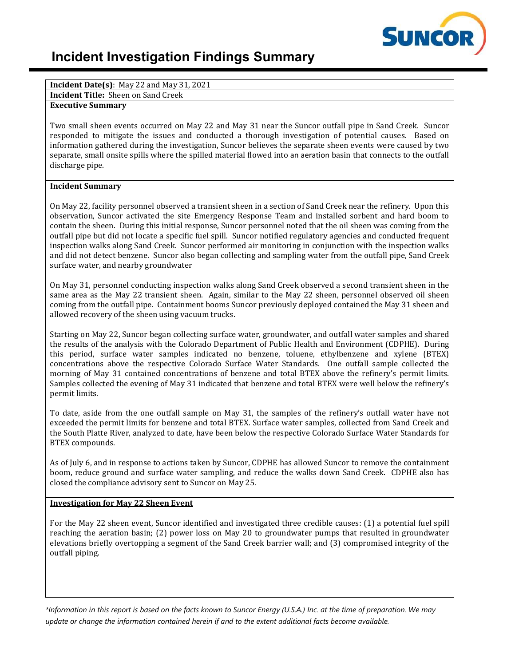

# **Incident Investigation Findings Summary**

**Incident Date(s)**: May 22 and May 31, 2021

**Incident Title:** Sheen on Sand Creek

# **Executive Summary**

Two small sheen events occurred on May 22 and May 31 near the Suncor outfall pipe in Sand Creek. Suncor responded to mitigate the issues and conducted a thorough investigation of potential causes. Based on information gathered during the investigation, Suncor believes the separate sheen events were caused by two separate, small onsite spills where the spilled material flowed into an aeration basin that connects to the outfall discharge pipe.

#### **Incident Summary**

On May 22, facility personnel observed a transient sheen in a section of Sand Creek near the refinery. Upon this observation, Suncor activated the site Emergency Response Team and installed sorbent and hard boom to contain the sheen. During this initial response, Suncor personnel noted that the oil sheen was coming from the outfall pipe but did not locate a specific fuel spill. Suncor notified regulatory agencies and conducted frequent inspection walks along Sand Creek. Suncor performed air monitoring in conjunction with the inspection walks and did not detect benzene. Suncor also began collecting and sampling water from the outfall pipe, Sand Creek surface water, and nearby groundwater

On May 31, personnel conducting inspection walks along Sand Creek observed a second transient sheen in the same area as the May 22 transient sheen. Again, similar to the May 22 sheen, personnel observed oil sheen coming from the outfall pipe. Containment booms Suncor previously deployed contained the May 31 sheen and allowed recovery of the sheen using vacuum trucks.

Starting on May 22, Suncor began collecting surface water, groundwater, and outfall water samples and shared the results of the analysis with the Colorado Department of Public Health and Environment (CDPHE). During this period, surface water samples indicated no benzene, toluene, ethylbenzene and xylene (BTEX) concentrations above the respective Colorado Surface Water Standards. One outfall sample collected the morning of May 31 contained concentrations of benzene and total BTEX above the refinery's permit limits. Samples collected the evening of May 31 indicated that benzene and total BTEX were well below the refinery's permit limits.

To date, aside from the one outfall sample on May 31, the samples of the refinery's outfall water have not exceeded the permit limits for benzene and total BTEX. Surface water samples, collected from Sand Creek and the South Platte River, analyzed to date, have been below the respective Colorado Surface Water Standards for BTEX compounds.

As of July 6, and in response to actions taken by Suncor, CDPHE has allowed Suncor to remove the containment boom, reduce ground and surface water sampling, and reduce the walks down Sand Creek. CDPHE also has closed the compliance advisory sent to Suncor on May 25.

#### **Investigation for May 22 Sheen Event**

For the May 22 sheen event, Suncor identified and investigated three credible causes: (1) a potential fuel spill reaching the aeration basin; (2) power loss on May 20 to groundwater pumps that resulted in groundwater elevations briefly overtopping a segment of the Sand Creek barrier wall; and (3) compromised integrity of the outfall piping.

*\*Information in this report is based on the facts known to Suncor Energy (U.S.A.) Inc. at the time of preparation. We may update or change the information contained herein if and to the extent additional facts become available.*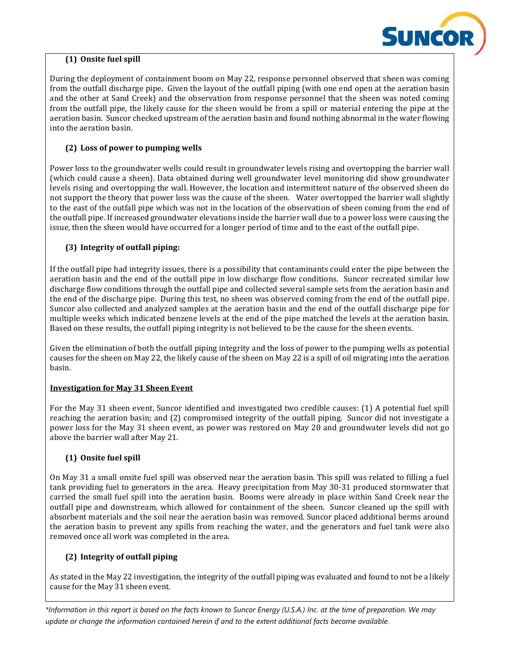

# **(1) Onsite fuel spill**

During the deployment of containment boom on May 22, response personnel observed that sheen was coming from the outfall discharge pipe. Given the layout of the outfall piping (with one end open at the aeration basin and the other at Sand Creek) and the observation from response personnel that the sheen was noted coming from the outfall pipe, the likely cause for the sheen would be from a spill or material entering the pipe at the aeration basin. Suncor checked upstream of the aeration basin and found nothing abnormal in the water flowing into the aeration basin.

# **(2) Loss of power to pumping wells**

Power loss to the groundwater wells could result in groundwater levels rising and overtopping the barrier wall (which could cause a sheen). Data obtained during well groundwater level monitoring did show groundwater levels rising and overtopping the wall. However, the location and intermittent nature of the observed sheen do not support the theory that power loss was the cause of the sheen. Water overtopped the barrier wall slightly to the east of the outfall pipe which was not in the location of the observation of sheen coming from the end of the outfall pipe. If increased groundwater elevations inside the barrier wall due to a power loss were causing the issue, then the sheen would have occurred for a longer period of time and to the east of the outfall pipe.

# **(3) Integrity of outfall piping:**

If the outfall pipe had integrity issues, there is a possibility that contaminants could enter the pipe between the aeration basin and the end of the outfall pipe in low discharge flow conditions. Suncor recreated similar low discharge flow conditions through the outfall pipe and collected several sample sets from the aeration basin and the end of the discharge pipe. During this test, no sheen was observed coming from the end of the outfall pipe. Suncor also collected and analyzed samples at the aeration basin and the end of the outfall discharge pipe for multiple weeks which indicated benzene levels at the end of the pipe matched the levels at the aeration basin. Based on these results, the outfall piping integrity is not believed to be the cause for the sheen events.

Given the elimination of both the outfall piping integrity and the loss of power to the pumping wells as potential causes for the sheen on May 22, the likely cause of the sheen on May 22 is a spill of oil migrating into the aeration basin.

### **Investigation for May 31 Sheen Event**

For the May 31 sheen event, Suncor identified and investigated two credible causes: (1) A potential fuel spill reaching the aeration basin; and (2) compromised integrity of the outfall piping. Suncor did not investigate a power loss for the May 31 sheen event, as power was restored on May 20 and groundwater levels did not go above the barrier wall after May 21.

### **(1) Onsite fuel spill**

On May 31 a small onsite fuel spill was observed near the aeration basin. This spill was related to filling a fuel tank providing fuel to generators in the area. Heavy precipitation from May 30-31 produced stormwater that carried the small fuel spill into the aeration basin. Booms were already in place within Sand Creek near the outfall pipe and downstream, which allowed for containment of the sheen. Suncor cleaned up the spill with absorbent materials and the soil near the aeration basin was removed. Suncor placed additional berms around the aeration basin to prevent any spills from reaching the water, and the generators and fuel tank were also removed once all work was completed in the area.

### **(2) Integrity of outfall piping**

As stated in the May 22 investigation, the integrity of the outfall piping was evaluated and found to not be a likely cause for the May 31 sheen event.

*\*Information in this report is based on the facts known to Suncor Energy (U.S.A.) Inc. at the time of preparation. We may update or change the information contained herein if and to the extent additional facts become available.*